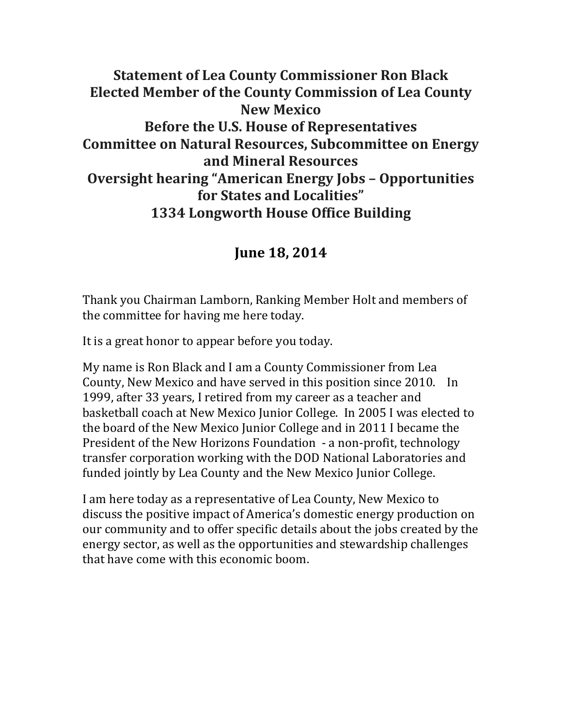#### **Statement of Lea County Commissioner Ron Black Elected Member of the County Commission of Lea County New Mexico Before the U.S. House of Representatives Committee on Natural Resources, Subcommittee on Energy and Mineral Resources Oversight hearing "American Energy Jobs – Opportunities for States and Localities" 1334 Longworth House Office Building**

#### **June 18, 2014**

Thank you Chairman Lamborn, Ranking Member Holt and members of the committee for having me here today.

It is a great honor to appear before you today.

My name is Ron Black and I am a County Commissioner from Lea County, New Mexico and have served in this position since 2010. In 1999, after 33 years, I retired from my career as a teacher and basketball coach at New Mexico Junior College. In 2005 I was elected to the board of the New Mexico Junior College and in 2011 I became the President of the New Horizons Foundation - a non-profit, technology transfer corporation working with the DOD National Laboratories and funded jointly by Lea County and the New Mexico Junior College.

I am here today as a representative of Lea County, New Mexico to discuss the positive impact of America's domestic energy production on our community and to offer specific details about the jobs created by the energy sector, as well as the opportunities and stewardship challenges that have come with this economic boom.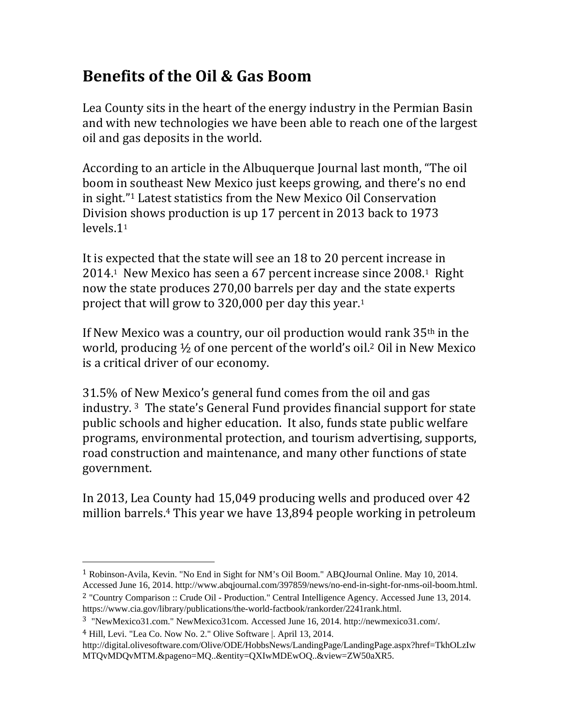### **Benefits of the Oil & Gas Boom**

Lea County sits in the heart of the energy industry in the Permian Basin and with new technologies we have been able to reach one of the largest oil and gas deposits in the world.

According to an article in the Albuquerque Journal last month, "The oil boom in southeast New Mexico just keeps growing, and there's no end in sight."<sup>1</sup> Latest statistics from the New Mexico Oil Conservation Division shows production is up 17 percent in 2013 back to 1973 levels.11

It is expected that the state will see an 18 to 20 percent increase in 2014.<sup>1</sup> New Mexico has seen a 67 percent increase since 2008.<sup>1</sup> Right now the state produces 270,00 barrels per day and the state experts project that will grow to  $320,000$  per day this year.<sup>1</sup>

If New Mexico was a country, our oil production would rank  $35<sup>th</sup>$  in the world, producing  $\frac{1}{2}$  of one percent of the world's oil.<sup>2</sup> Oil in New Mexico is a critical driver of our economy.

31.5% of New Mexico's general fund comes from the oil and gas industry.  $3$  The state's General Fund provides financial support for state public schools and higher education. It also, funds state public welfare programs, environmental protection, and tourism advertising, supports, road construction and maintenance, and many other functions of state government. 

In 2013, Lea County had 15,049 producing wells and produced over 42 million barrels.<sup>4</sup> This year we have  $13,894$  people working in petroleum

 

<sup>1</sup> Robinson-Avila, Kevin. "No End in Sight for NM's Oil Boom." ABQJournal Online. May 10, 2014. Accessed June 16, 2014. http://www.abqjournal.com/397859/news/no-end-in-sight-for-nms-oil-boom.html.

<sup>2</sup> "Country Comparison :: Crude Oil - Production." Central Intelligence Agency. Accessed June 13, 2014. https://www.cia.gov/library/publications/the-world-factbook/rankorder/2241rank.html.

<sup>3</sup> "NewMexico31.com." NewMexico31com. Accessed June 16, 2014. http://newmexico31.com/.

<sup>4</sup> Hill, Levi. "Lea Co. Now No. 2." Olive Software |. April 13, 2014. http://digital.olivesoftware.com/Olive/ODE/HobbsNews/LandingPage/LandingPage.aspx?href=TkhOLzIw MTQvMDQvMTM.&pageno=MQ..&entity=QXIwMDEwOQ..&view=ZW50aXR5.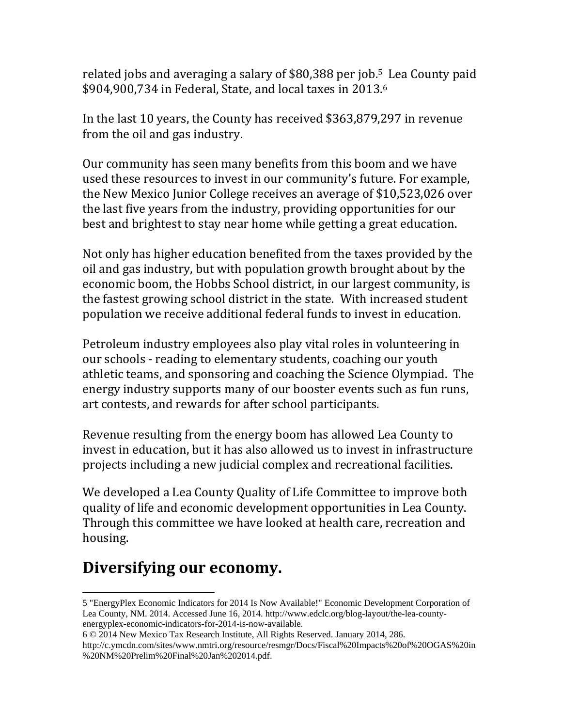related jobs and averaging a salary of \$80,388 per job.<sup>5</sup> Lea County paid  $$904,900,734$  in Federal, State, and local taxes in 2013.<sup>6</sup>

In the last 10 years, the County has received \$363,879,297 in revenue from the oil and gas industry.

Our community has seen many benefits from this boom and we have used these resources to invest in our community's future. For example, the New Mexico Junior College receives an average of \$10,523,026 over the last five years from the industry, providing opportunities for our best and brightest to stay near home while getting a great education.

Not only has higher education benefited from the taxes provided by the oil and gas industry, but with population growth brought about by the economic boom, the Hobbs School district, in our largest community, is the fastest growing school district in the state. With increased student population we receive additional federal funds to invest in education.

Petroleum industry employees also play vital roles in volunteering in our schools - reading to elementary students, coaching our youth athletic teams, and sponsoring and coaching the Science Olympiad. The energy industry supports many of our booster events such as fun runs, art contests, and rewards for after school participants.

Revenue resulting from the energy boom has allowed Lea County to invest in education, but it has also allowed us to invest in infrastructure projects including a new judicial complex and recreational facilities.

We developed a Lea County Quality of Life Committee to improve both quality of life and economic development opportunities in Lea County. Through this committee we have looked at health care, recreation and housing. 

## **Diversifying our economy.**

 

<sup>5 &</sup>quot;EnergyPlex Economic Indicators for 2014 Is Now Available!" Economic Development Corporation of Lea County, NM. 2014. Accessed June 16, 2014. http://www.edclc.org/blog-layout/the-lea-countyenergyplex-economic-indicators-for-2014-is-now-available.

<sup>6 © 2014</sup> New Mexico Tax Research Institute, All Rights Reserved. January 2014, 286.

http://c.ymcdn.com/sites/www.nmtri.org/resource/resmgr/Docs/Fiscal%20Impacts%20of%20OGAS%20in %20NM%20Prelim%20Final%20Jan%202014.pdf.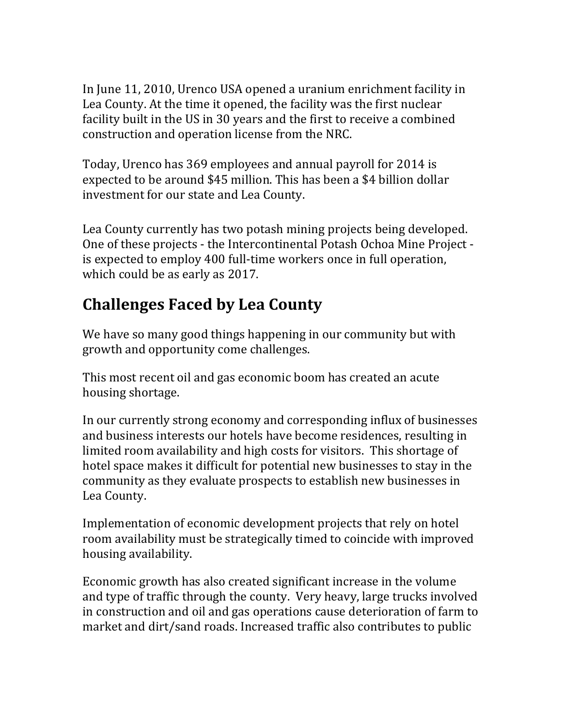In June 11, 2010, Urenco USA opened a uranium enrichment facility in Lea County. At the time it opened, the facility was the first nuclear facility built in the US in 30 years and the first to receive a combined construction and operation license from the NRC.

Today, Urenco has 369 employees and annual payroll for 2014 is expected to be around \$45 million. This has been a \$4 billion dollar investment for our state and Lea County.

Lea County currently has two potash mining projects being developed. One of these projects - the Intercontinental Potash Ochoa Mine Project is expected to employ 400 full-time workers once in full operation, which could be as early as 2017.

## **Challenges Faced by Lea County**

We have so many good things happening in our community but with growth and opportunity come challenges.

This most recent oil and gas economic boom has created an acute housing shortage.

In our currently strong economy and corresponding influx of businesses and business interests our hotels have become residences, resulting in limited room availability and high costs for visitors. This shortage of hotel space makes it difficult for potential new businesses to stay in the community as they evaluate prospects to establish new businesses in Lea County.

Implementation of economic development projects that rely on hotel room availability must be strategically timed to coincide with improved housing availability.

Economic growth has also created significant increase in the volume and type of traffic through the county. Very heavy, large trucks involved in construction and oil and gas operations cause deterioration of farm to market and dirt/sand roads. Increased traffic also contributes to public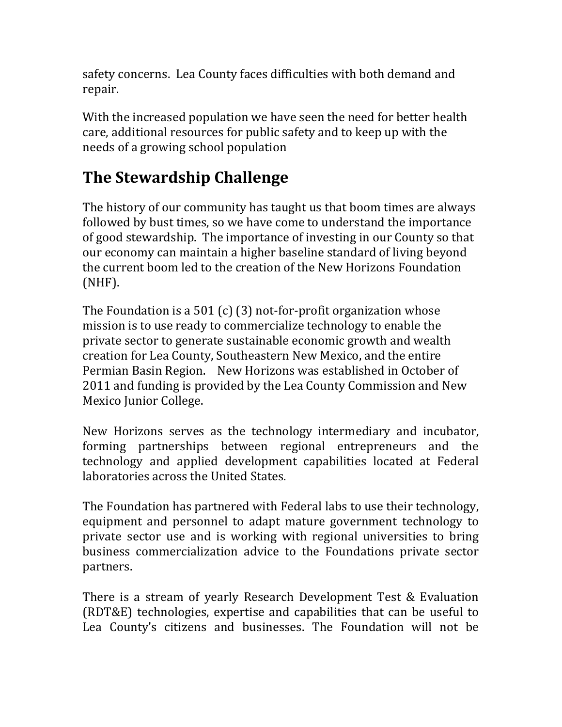safety concerns. Lea County faces difficulties with both demand and repair. 

With the increased population we have seen the need for better health care, additional resources for public safety and to keep up with the needs of a growing school population

# **The Stewardship Challenge**

The history of our community has taught us that boom times are always followed by bust times, so we have come to understand the importance of good stewardship. The importance of investing in our County so that our economy can maintain a higher baseline standard of living beyond the current boom led to the creation of the New Horizons Foundation (NHF). 

The Foundation is a 501 (c) (3) not-for-profit organization whose mission is to use ready to commercialize technology to enable the private sector to generate sustainable economic growth and wealth creation for Lea County, Southeastern New Mexico, and the entire Permian Basin Region. New Horizons was established in October of 2011 and funding is provided by the Lea County Commission and New Mexico Junior College.

New Horizons serves as the technology intermediary and incubator, forming partnerships between regional entrepreneurs and the technology and applied development capabilities located at Federal laboratories across the United States.

The Foundation has partnered with Federal labs to use their technology, equipment and personnel to adapt mature government technology to private sector use and is working with regional universities to bring business commercialization advice to the Foundations private sector partners. 

There is a stream of yearly Research Development Test & Evaluation (RDT&E) technologies, expertise and capabilities that can be useful to Lea County's citizens and businesses. The Foundation will not be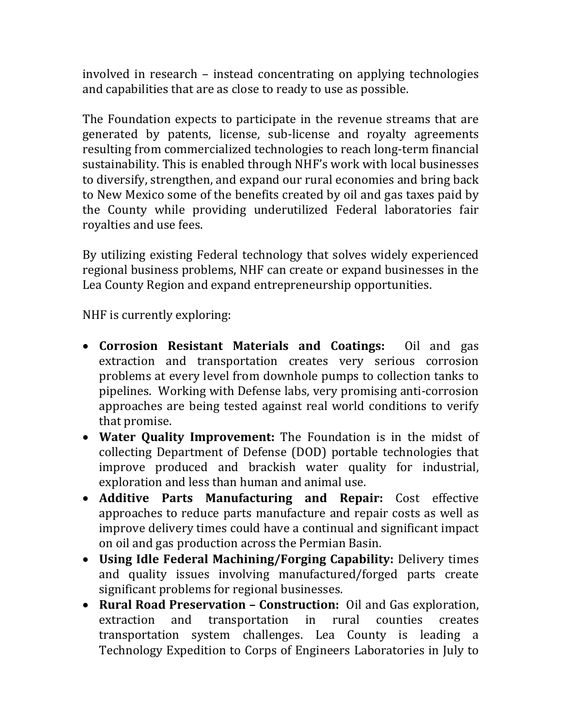involved in research – instead concentrating on applying technologies and capabilities that are as close to ready to use as possible.

The Foundation expects to participate in the revenue streams that are generated by patents, license, sub-license and royalty agreements resulting from commercialized technologies to reach long-term financial sustainability. This is enabled through NHF's work with local businesses to diversify, strengthen, and expand our rural economies and bring back to New Mexico some of the benefits created by oil and gas taxes paid by the County while providing underutilized Federal laboratories fair royalties and use fees.

By utilizing existing Federal technology that solves widely experienced regional business problems, NHF can create or expand businesses in the Lea County Region and expand entrepreneurship opportunities.

NHF is currently exploring:

- **Corrosion Resistant Materials and Coatings:** Oil and gas extraction and transportation creates very serious corrosion problems at every level from downhole pumps to collection tanks to pipelines. Working with Defense labs, very promising anti-corrosion approaches are being tested against real world conditions to verify that promise.
- Water Quality Improvement: The Foundation is in the midst of collecting Department of Defense (DOD) portable technologies that improve produced and brackish water quality for industrial, exploration and less than human and animal use.
- **Additive Parts Manufacturing and Repair:** Cost effective approaches to reduce parts manufacture and repair costs as well as improve delivery times could have a continual and significant impact on oil and gas production across the Permian Basin.
- **Using Idle Federal Machining/Forging Capability:** Delivery times and quality issues involving manufactured/forged parts create significant problems for regional businesses.
- **Rural Road Preservation – Construction:** Oil and Gas exploration, extraction and transportation in rural counties creates transportation system challenges. Lea County is leading a Technology Expedition to Corps of Engineers Laboratories in July to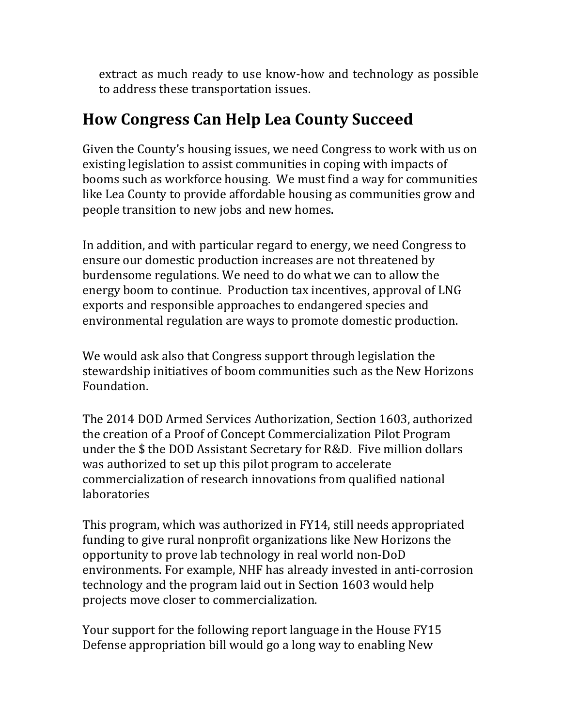extract as much ready to use know-how and technology as possible to address these transportation issues.

### **How Congress Can Help Lea County Succeed**

Given the County's housing issues, we need Congress to work with us on existing legislation to assist communities in coping with impacts of booms such as workforce housing. We must find a way for communities like Lea County to provide affordable housing as communities grow and people transition to new jobs and new homes.

In addition, and with particular regard to energy, we need Congress to ensure our domestic production increases are not threatened by burdensome regulations. We need to do what we can to allow the energy boom to continue. Production tax incentives, approval of LNG exports and responsible approaches to endangered species and environmental regulation are ways to promote domestic production.

We would ask also that Congress support through legislation the stewardship initiatives of boom communities such as the New Horizons Foundation. 

The 2014 DOD Armed Services Authorization, Section 1603, authorized the creation of a Proof of Concept Commercialization Pilot Program under the  $$$  the DOD Assistant Secretary for R&D. Five million dollars was authorized to set up this pilot program to accelerate commercialization of research innovations from qualified national laboratories 

This program, which was authorized in FY14, still needs appropriated funding to give rural nonprofit organizations like New Horizons the opportunity to prove lab technology in real world non-DoD environments. For example, NHF has already invested in anti-corrosion technology and the program laid out in Section 1603 would help projects move closer to commercialization.

Your support for the following report language in the House FY15 Defense appropriation bill would go a long way to enabling New